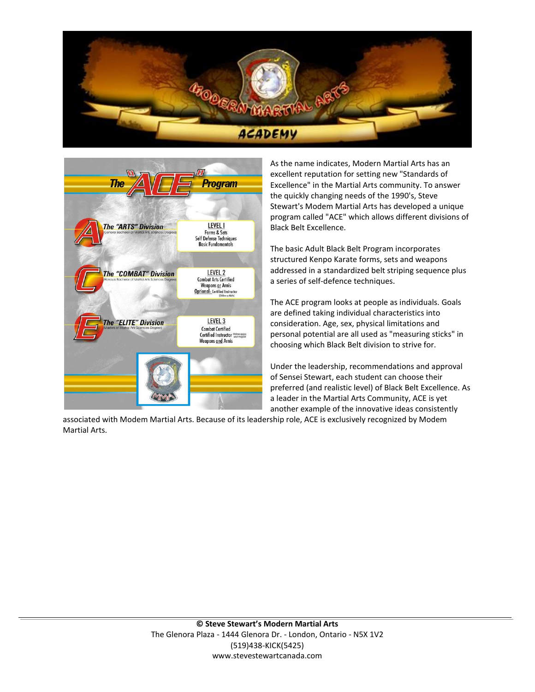



As the name indicates, Modern Martial Arts has an excellent reputation for setting new "Standards of Excellence" in the Martial Arts community. To answer the quickly changing needs of the 1990's, Steve Stewart's Modem Martial Arts has developed a unique program called "ACE" which allows different divisions of Black Belt Excellence.

The basic Adult Black Belt Program incorporates structured Kenpo Karate forms, sets and weapons addressed in a standardized belt striping sequence plus a series of self-defence techniques.

The ACE program looks at people as individuals. Goals are defined taking individual characteristics into consideration. Age, sex, physical limitations and personal potential are all used as "measuring sticks" in choosing which Black Belt division to strive for.

Under the leadership, recommendations and approval of Sensei Stewart, each student can choose their preferred (and realistic level) of Black Belt Excellence. As a leader in the Martial Arts Community, ACE is yet another example of the innovative ideas consistently

associated with Modem Martial Arts. Because of its leadership role, ACE is exclusively recognized by Modem Martial Arts.